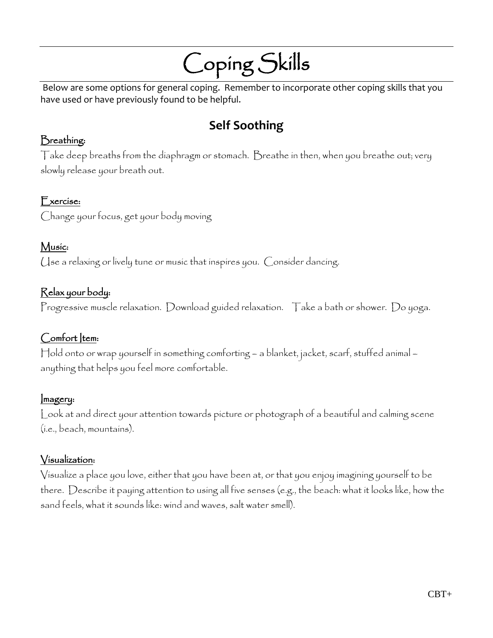# Coping Skills

Below are some options for general coping. Remember to incorporate other coping skills that you have used or have previously found to be helpful.

# **Self Soothing**

#### Breathing:

Take deep breaths from the diaphragm or stomach. Breathe in then, when you breathe out; very slowly release your breath out.

#### Exercise:

Change your focus, get your body moving

## Music:

Use a relaxing or lively tune or music that inspires you. Consider dancing.

## Relax your body:

Progressive muscle relaxation. Download guided relaxation. Take a bath or shower. Do yoga.

#### Comfort Item:

Hold onto or wrap yourself in something comforting – a blanket, jacket, scarf, stuffed animal – anything that helps you feel more comfortable.

#### Imagery:

Look at and direct your attention towards picture or photograph of a beautiful and calming scene (i.e., beach, mountains).

#### Visualization:

Visualize a place you love, either that you have been at, or that you enjoy imagining yourself to be there. Describe it paying attention to using all five senses (e.g., the beach: what it looks like, how the sand feels, what it sounds like: wind and waves, salt water smell).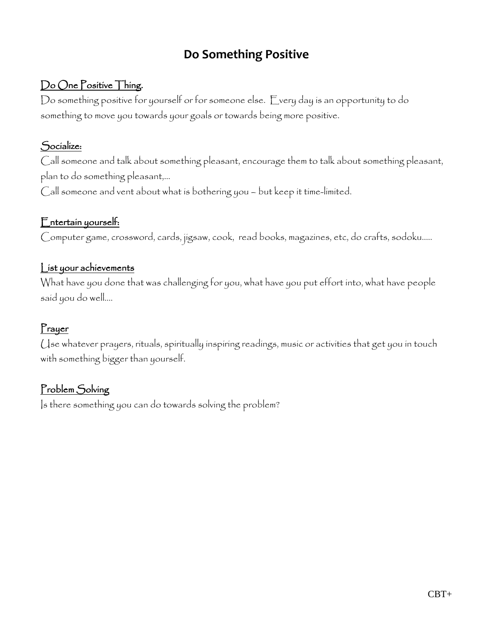# **Do Something Positive**

# Do One Positive Thing.

Do something positive for yourself or for someone else. Every day is an opportunity to do something to move you towards your goals or towards being more positive.

#### Socialize:

Call someone and talk about something pleasant, encourage them to talk about something pleasant, plan to do something pleasant,…

Call someone and vent about what is bothering you – but keep it time-limited.

#### Entertain yourself:

Computer game, crossword, cards, jigsaw, cook, read books, magazines, etc, do crafts, sodoku…..

#### List your achievements

What have you done that was challenging for you, what have you put effort into, what have people said you do well….

# Prayer

Use whatever prayers, rituals, spiritually inspiring readings, music or activities that get you in touch with something bigger than yourself.

# Problem Solving

Is there something you can do towards solving the problem?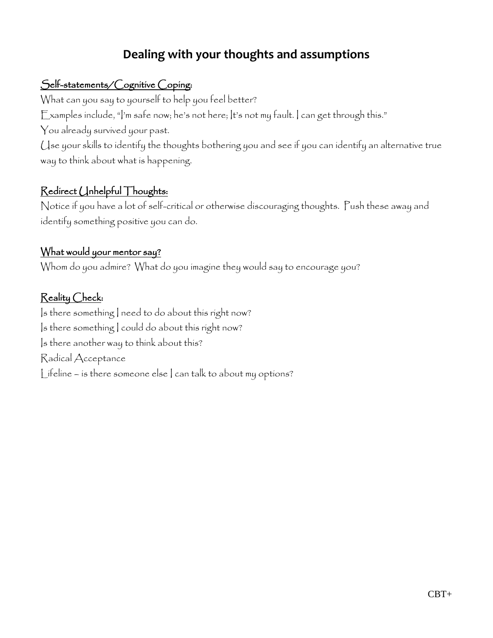# **Dealing with your thoughts and assumptions**

## Self-statements/Cognitive Coping:

What can you say to yourself to help you feel better?

Examples include, " $\vert$ 'm safe now; he's not here;  $\vert$ t's not my fault.  $\vert$  can get through this."

You already survived your past.

Use your skills to identify the thoughts bothering you and see if you can identify an alternative true way to think about what is happening.

# Redirect Unhelpful Thoughts:

Notice if you have a lot of self-critical or otherwise discouraging thoughts. Push these away and identify something positive you can do.

#### What would your mentor say?

Whom do you admire? What do you imagine they would say to encourage you?

## Reality Check:

Is there something I need to do about this right now? Is there something I could do about this right now? Is there another way to think about this? Radical Acceptance Lifeline – is there someone else | can talk to about my options?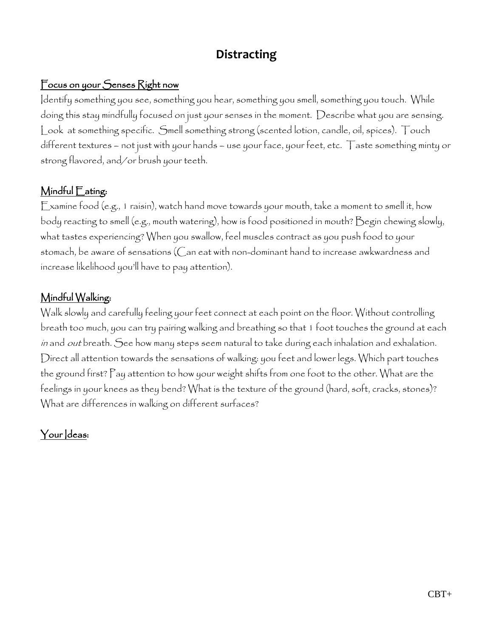# **Distracting**

# Focus on your Senses Right now

Identify something you see, something you hear, something you smell, something you touch. While doing this stay mindfully focused on just your senses in the moment. Describe what you are sensing. Look at something specific. Smell something strong (scented lotion, candle, oil, spices). Touch different textures – not just with your hands – use your face, your feet, etc. Taste something minty or strong flavored, and/or brush your teeth.

## Mindful Eating:

Examine food (e.g., 1 raisin), watch hand move towards your mouth, take a moment to smell it, how body reacting to smell (e.g., mouth watering), how is food positioned in mouth? Begin chewing slowly, what tastes experiencing? When you swallow, feel muscles contract as you push food to your stomach, be aware of sensations (Can eat with non-dominant hand to increase awkwardness and increase likelihood you'll have to pay attention).

#### Mindful Walking:

Walk slowly and carefully feeling your feet connect at each point on the floor. Without controlling breath too much, you can try pairing walking and breathing so that 1 foot touches the ground at each in and out breath. See how many steps seem natural to take during each inhalation and exhalation. Direct all attention towards the sensations of walking: you feet and lower legs. Which part touches the ground first? Pay attention to how your weight shifts from one foot to the other. What are the feelings in your knees as they bend? What is the texture of the ground (hard, soft, cracks, stones)? What are differences in walking on different surfaces?

# Your deas: